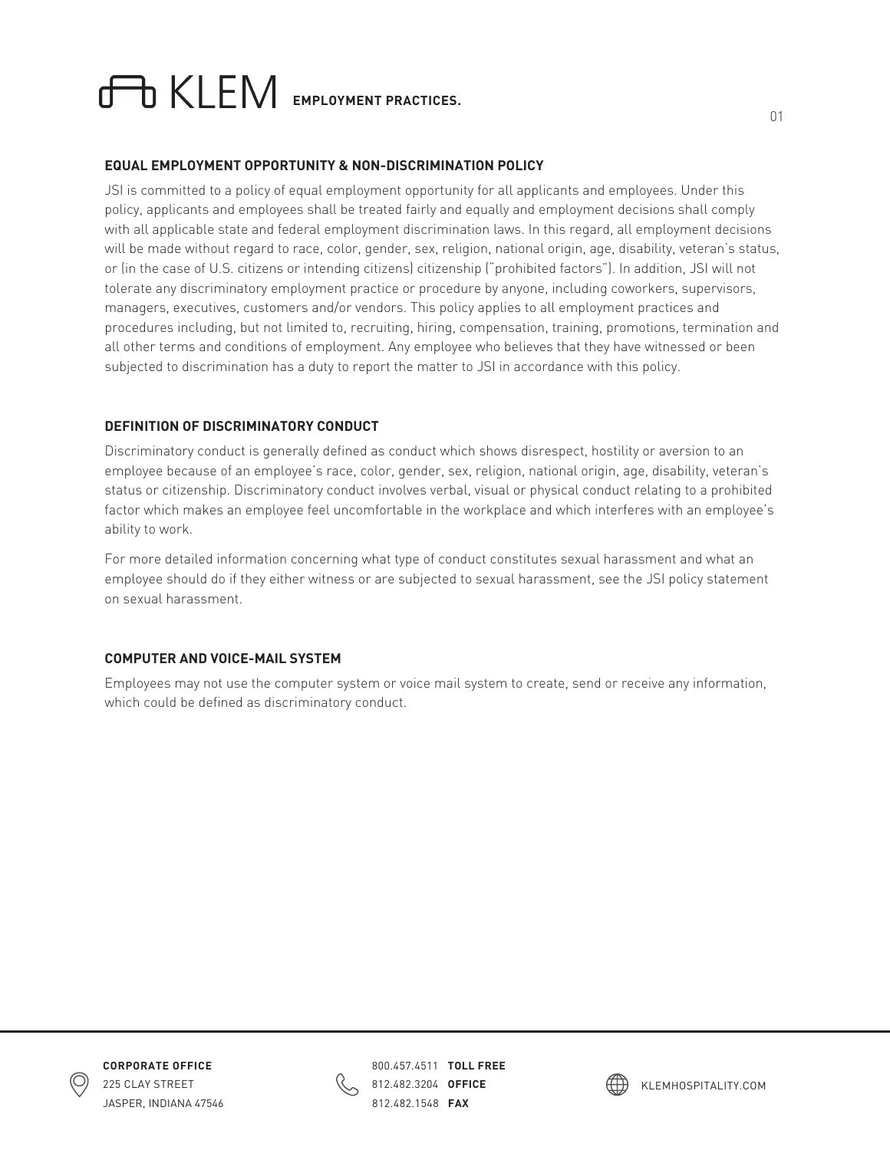# **EMPLOYMENT PRACTICES.**

### **EQUAL EMPLOYMENT OPPORTUNITY & NON-DISCRIMINATION POLICY**

JSI is committed to a policy of equal employment opportunity for all applicants and employees. Under this policy, applicants and employees shall be treated fairly and equally and employment decisions shall comply with all applicable state and federal employment discrimination laws. In this regard, all employment decisions will be made without regard to race, color, gender, sex, religion, national origin, age, disability, veteran's status, or (in the case of U.S. citizens or intending citizens) citizenship ("prohibited factors"). In addition, JSI will not tolerate any discriminatory employment practice or procedure by anyone, including coworkers, supervisors, managers, executives, customers and/or vendors. This policy applies to all employment practices and procedures including, but not limited to, recruiting, hiring, compensation, training, promotions, termination and all other terms and conditions of employment. Any employee who believes that they have witnessed or been subjected to discrimination has a duty to report the matter to JSI in accordance with this policy.

## **DEFINITION OF DISCRIMINATORY CONDUCT**

Discriminatory conduct is generally defined as conduct which shows disrespect, hostility or aversion to an employee because of an employee's race, color, gender, sex, religion, national origin, age, disability, veteran's status or citizenship. Discriminatory conduct involves verbal, visual or physical conduct relating to a prohibited factor which makes an employee feel uncomfortable in the workplace and which interferes with an employee's ability to work.

For more detailed information concerning what type of conduct constitutes sexual harassment and what an employee should do if they either witness or are subjected to sexual harassment, see the JSI policy statement on sexual harassment.

### **COMPUTER AND VOICE-MAIL SYSTEM**

Employees may not use the computer system or voice mail system to create, send or receive any information, which could be defined as discriminatory conduct.





800.457.4511 **TOLL FREE**  812.482.3204 **OFFICE**  812.482.1548 **FAX** 

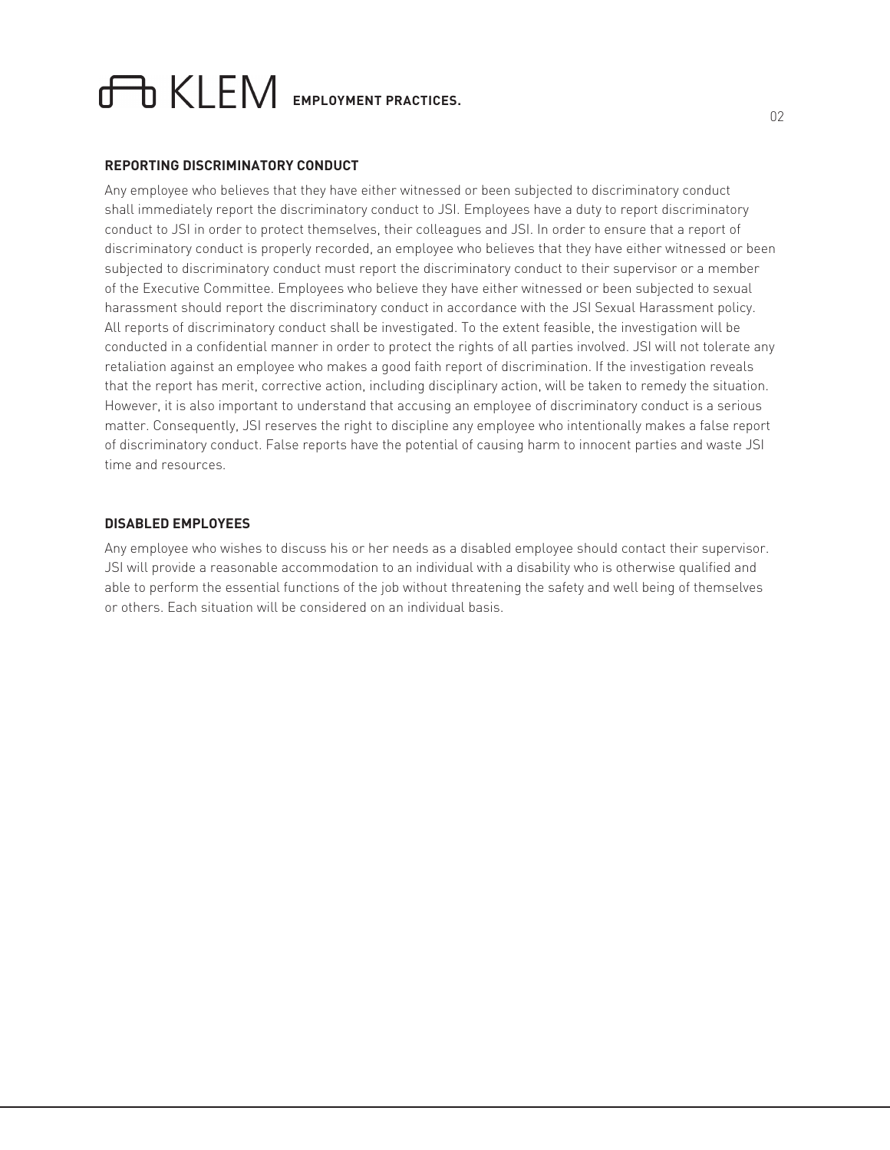# **EMPLOYMENT PRACTICES.**

#### **REPORTING DISCRIMINATORY CONDUCT**

Any employee who believes that they have either witnessed or been subjected to discriminatory conduct shall immediately report the discriminatory conduct to JSI. Employees have a duty to report discriminatory conduct to JSI in order to protect themselves, their colleagues and JSI. In order to ensure that a report of discriminatory conduct is properly recorded, an employee who believes that they have either witnessed or been subjected to discriminatory conduct must report the discriminatory conduct to their supervisor or a member of the Executive Committee. Employees who believe they have either witnessed or been subjected to sexual harassment should report the discriminatory conduct in accordance with the JSI Sexual Harassment policy. All reports of discriminatory conduct shall be investigated. To the extent feasible, the investigation will be conducted in a confidential manner in order to protect the rights of all parties involved. JSI will not tolerate any retaliation against an employee who makes a good faith report of discrimination. If the investigation reveals that the report has merit, corrective action, including disciplinary action, will be taken to remedy the situation. However, it is also important to understand that accusing an employee of discriminatory conduct is a serious matter. Consequently, JSI reserves the right to discipline any employee who intentionally makes a false report of discriminatory conduct. False reports have the potential of causing harm to innocent parties and waste JSI time and resources.

#### **DISABLED EMPLOYEES**

Any employee who wishes to discuss his or her needs as a disabled employee should contact their supervisor. JSI will provide a reasonable accommodation to an individual with a disability who is otherwise qualified and able to perform the essential functions of the job without threatening the safety and well being of themselves or others. Each situation will be considered on an individual basis.